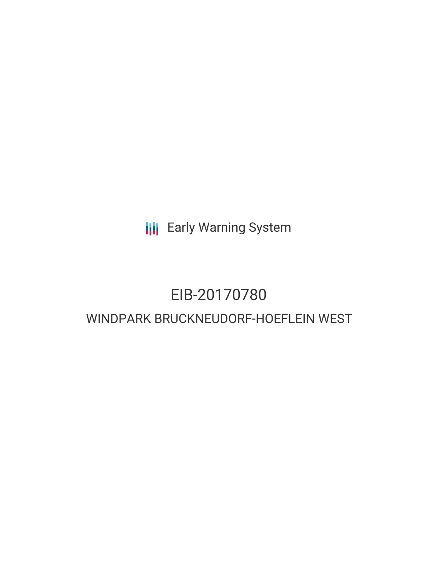**III** Early Warning System

# EIB-20170780 WINDPARK BRUCKNEUDORF-HOEFLEIN WEST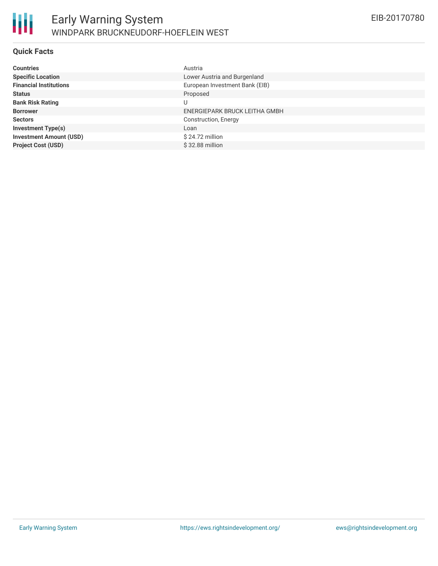

### **Quick Facts**

| <b>Countries</b>               | Austria                        |
|--------------------------------|--------------------------------|
| <b>Specific Location</b>       | Lower Austria and Burgenland   |
| <b>Financial Institutions</b>  | European Investment Bank (EIB) |
| <b>Status</b>                  | Proposed                       |
| <b>Bank Risk Rating</b>        | U                              |
| <b>Borrower</b>                | ENERGIEPARK BRUCK LEITHA GMBH  |
| <b>Sectors</b>                 | Construction, Energy           |
| <b>Investment Type(s)</b>      | Loan                           |
| <b>Investment Amount (USD)</b> | $$24.72$ million               |
| <b>Project Cost (USD)</b>      | \$32.88 million                |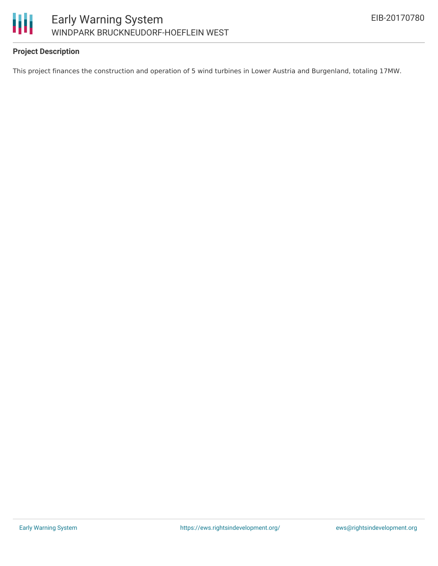

# **Project Description**

This project finances the construction and operation of 5 wind turbines in Lower Austria and Burgenland, totaling 17MW.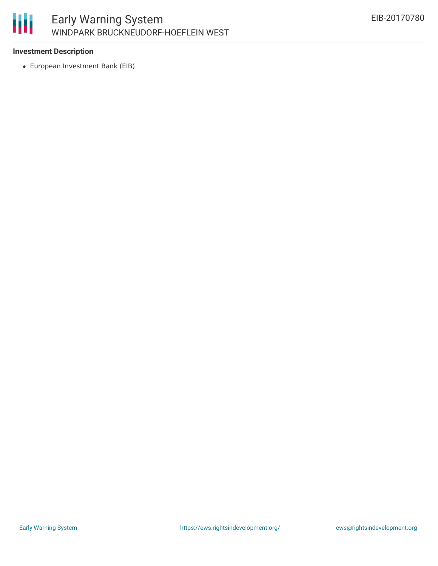

## **Investment Description**

European Investment Bank (EIB)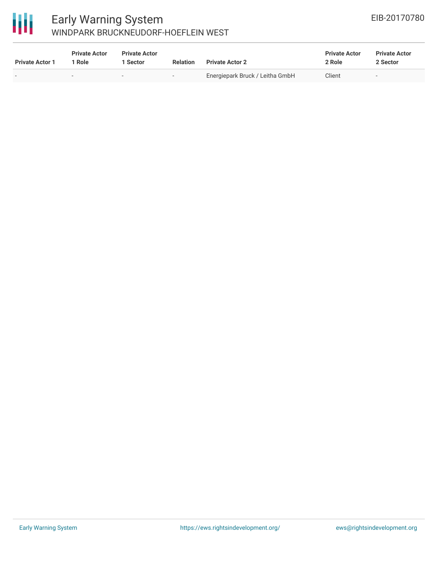

# Early Warning System WINDPARK BRUCKNEUDORF-HOEFLEIN WEST

| <b>Private Actor 1</b> | <b>Private Actor</b><br>1 Role | <b>Private Actor</b><br>1 Sector | Relation                 | <b>Private Actor 2</b>          | <b>Private Actor</b><br>2 Role | <b>Private Actor</b><br>2 Sector |  |
|------------------------|--------------------------------|----------------------------------|--------------------------|---------------------------------|--------------------------------|----------------------------------|--|
|                        | $\overline{\phantom{0}}$       |                                  | $\overline{\phantom{0}}$ | Energiepark Bruck / Leitha GmbH | Client                         | $\overline{\phantom{0}}$         |  |